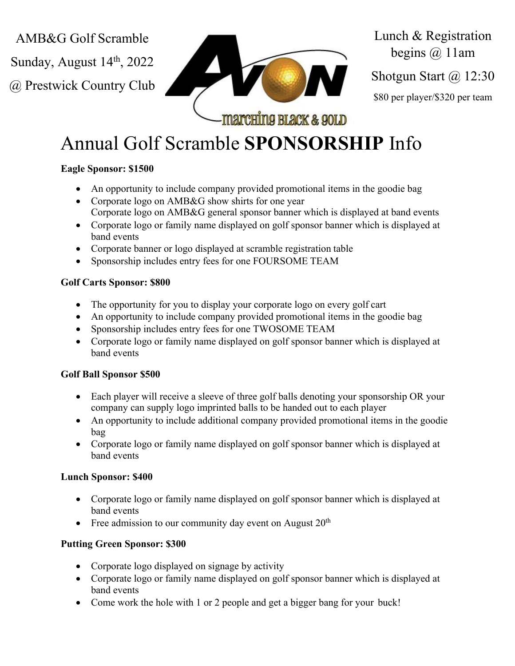AMB&G Golf Scramble

Sunday, August  $14<sup>th</sup>$ , 2022

@ Prestwick Country Club



Lunch & Registration begins  $(a)$  11am Shotgun Start @ 12:30

\$80 per player/\$320 per team

# Annual Golf Scramble **SPONSORSHIP** Info

## **Eagle Sponsor: \$1500**

- An opportunity to include company provided promotional items in the goodie bag
- Corporate logo on AMB&G show shirts for one year Corporate logo on AMB&G general sponsor banner which is displayed at band events
- Corporate logo or family name displayed on golf sponsor banner which is displayed at band events
- Corporate banner or logo displayed at scramble registration table
- Sponsorship includes entry fees for one FOURSOME TEAM

## **Golf Carts Sponsor: \$800**

- The opportunity for you to display your corporate logo on every golf cart
- An opportunity to include company provided promotional items in the goodie bag
- Sponsorship includes entry fees for one TWOSOME TEAM
- Corporate logo or family name displayed on golf sponsor banner which is displayed at band events

### **Golf Ball Sponsor \$500**

- Each player will receive a sleeve of three golf balls denoting your sponsorship OR your company can supply logo imprinted balls to be handed out to each player
- An opportunity to include additional company provided promotional items in the goodie bag
- Corporate logo or family name displayed on golf sponsor banner which is displayed at band events

## **Lunch Sponsor: \$400**

- Corporate logo or family name displayed on golf sponsor banner which is displayed at band events
- Free admission to our community day event on August  $20<sup>th</sup>$

## **Putting Green Sponsor: \$300**

- Corporate logo displayed on signage by activity
- Corporate logo or family name displayed on golf sponsor banner which is displayed at band events
- Come work the hole with 1 or 2 people and get a bigger bang for your buck!